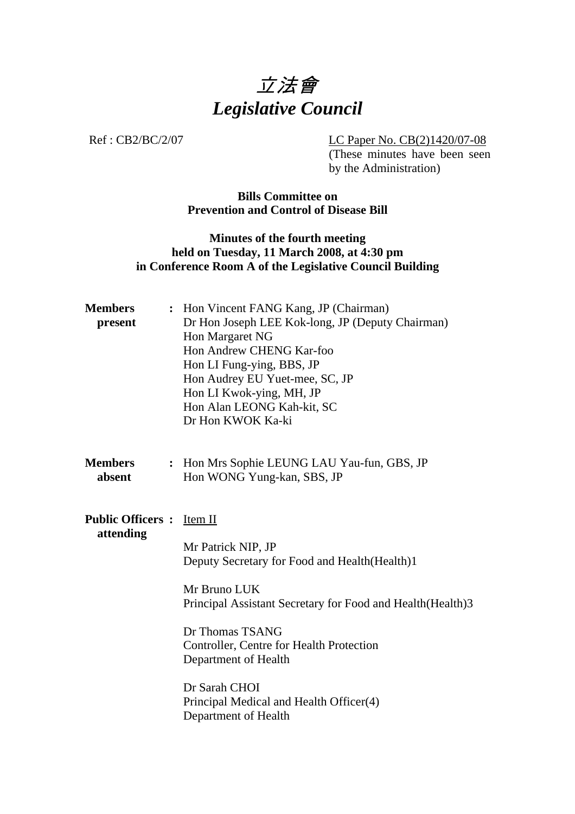

Ref : CB2/BC/2/07 LC Paper No. CB(2)1420/07-08 (These minutes have been seen by the Administration)

> **Bills Committee on Prevention and Control of Disease Bill**

## **Minutes of the fourth meeting held on Tuesday, 11 March 2008, at 4:30 pm in Conference Room A of the Legislative Council Building**

| <b>Members</b><br>$\ddot{\cdot}$<br>present | Hon Vincent FANG Kang, JP (Chairman)<br>Dr Hon Joseph LEE Kok-long, JP (Deputy Chairman)<br>Hon Margaret NG<br>Hon Andrew CHENG Kar-foo<br>Hon LI Fung-ying, BBS, JP<br>Hon Audrey EU Yuet-mee, SC, JP<br>Hon LI Kwok-ying, MH, JP<br>Hon Alan LEONG Kah-kit, SC |  |  |  |
|---------------------------------------------|------------------------------------------------------------------------------------------------------------------------------------------------------------------------------------------------------------------------------------------------------------------|--|--|--|
| <b>Members</b><br>absent                    | Dr Hon KWOK Ka-ki<br>: Hon Mrs Sophie LEUNG LAU Yau-fun, GBS, JP<br>Hon WONG Yung-kan, SBS, JP                                                                                                                                                                   |  |  |  |
| <b>Public Officers:</b><br>attending        | Item II<br>Mr Patrick NIP, JP<br>Deputy Secretary for Food and Health(Health)1                                                                                                                                                                                   |  |  |  |
|                                             | Mr Bruno LUK<br>Principal Assistant Secretary for Food and Health (Health) 3                                                                                                                                                                                     |  |  |  |
|                                             | Dr Thomas TSANG<br>Controller, Centre for Health Protection<br>Department of Health                                                                                                                                                                              |  |  |  |
|                                             | Dr Sarah CHOI<br>Principal Medical and Health Officer(4)<br>Department of Health                                                                                                                                                                                 |  |  |  |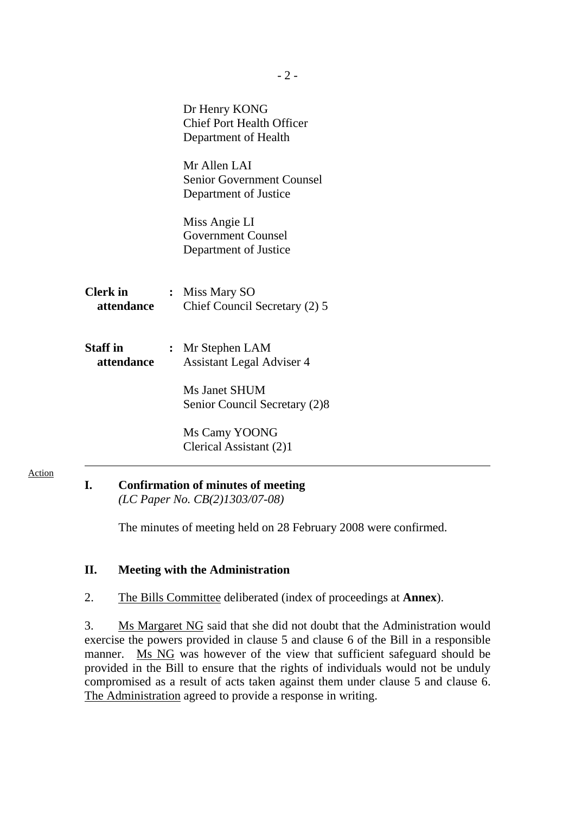|                               | Dr Henry KONG<br><b>Chief Port Health Officer</b><br>Department of Health                              |
|-------------------------------|--------------------------------------------------------------------------------------------------------|
|                               | Mr Allen LAI<br><b>Senior Government Counsel</b><br>Department of Justice                              |
|                               | Miss Angie LI<br><b>Government Counsel</b><br>Department of Justice                                    |
| <b>Clerk</b> in<br>attendance | : Miss Mary SO<br>Chief Council Secretary (2) 5                                                        |
| <b>Staff</b> in<br>attendance | : Mr Stephen LAM<br><b>Assistant Legal Adviser 4</b><br>Ms Janet SHUM<br>Senior Council Secretary (2)8 |
|                               | Ms Camy YOONG<br>Clerical Assistant (2)1                                                               |

**I. Confirmation of minutes of meeting**   *(LC Paper No. CB(2)1303/07-08)* 

Action

The minutes of meeting held on 28 February 2008 were confirmed.

## **II. Meeting with the Administration**

2. The Bills Committee deliberated (index of proceedings at **Annex**).

3. Ms Margaret NG said that she did not doubt that the Administration would exercise the powers provided in clause 5 and clause 6 of the Bill in a responsible manner. Ms NG was however of the view that sufficient safeguard should be provided in the Bill to ensure that the rights of individuals would not be unduly compromised as a result of acts taken against them under clause 5 and clause 6. The Administration agreed to provide a response in writing.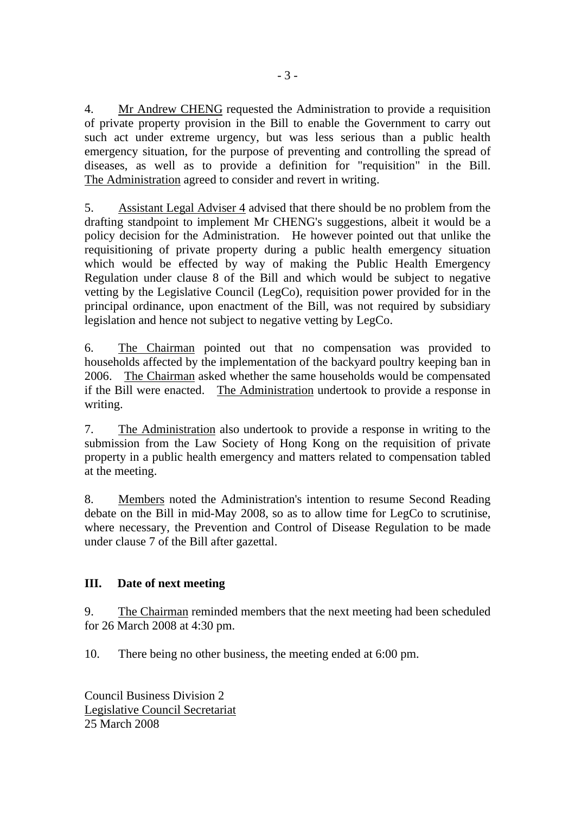4. Mr Andrew CHENG requested the Administration to provide a requisition of private property provision in the Bill to enable the Government to carry out such act under extreme urgency, but was less serious than a public health emergency situation, for the purpose of preventing and controlling the spread of diseases, as well as to provide a definition for "requisition" in the Bill. The Administration agreed to consider and revert in writing.

5. Assistant Legal Adviser 4 advised that there should be no problem from the drafting standpoint to implement Mr CHENG's suggestions, albeit it would be a policy decision for the Administration. He however pointed out that unlike the requisitioning of private property during a public health emergency situation which would be effected by way of making the Public Health Emergency Regulation under clause 8 of the Bill and which would be subject to negative vetting by the Legislative Council (LegCo), requisition power provided for in the principal ordinance, upon enactment of the Bill, was not required by subsidiary legislation and hence not subject to negative vetting by LegCo.

6. The Chairman pointed out that no compensation was provided to households affected by the implementation of the backyard poultry keeping ban in 2006. The Chairman asked whether the same households would be compensated if the Bill were enacted. The Administration undertook to provide a response in writing.

7. The Administration also undertook to provide a response in writing to the submission from the Law Society of Hong Kong on the requisition of private property in a public health emergency and matters related to compensation tabled at the meeting.

8. Members noted the Administration's intention to resume Second Reading debate on the Bill in mid-May 2008, so as to allow time for LegCo to scrutinise, where necessary, the Prevention and Control of Disease Regulation to be made under clause 7 of the Bill after gazettal.

## **III. Date of next meeting**

9. The Chairman reminded members that the next meeting had been scheduled for 26 March 2008 at 4:30 pm.

10. There being no other business, the meeting ended at 6:00 pm.

Council Business Division 2 Legislative Council Secretariat 25 March 2008